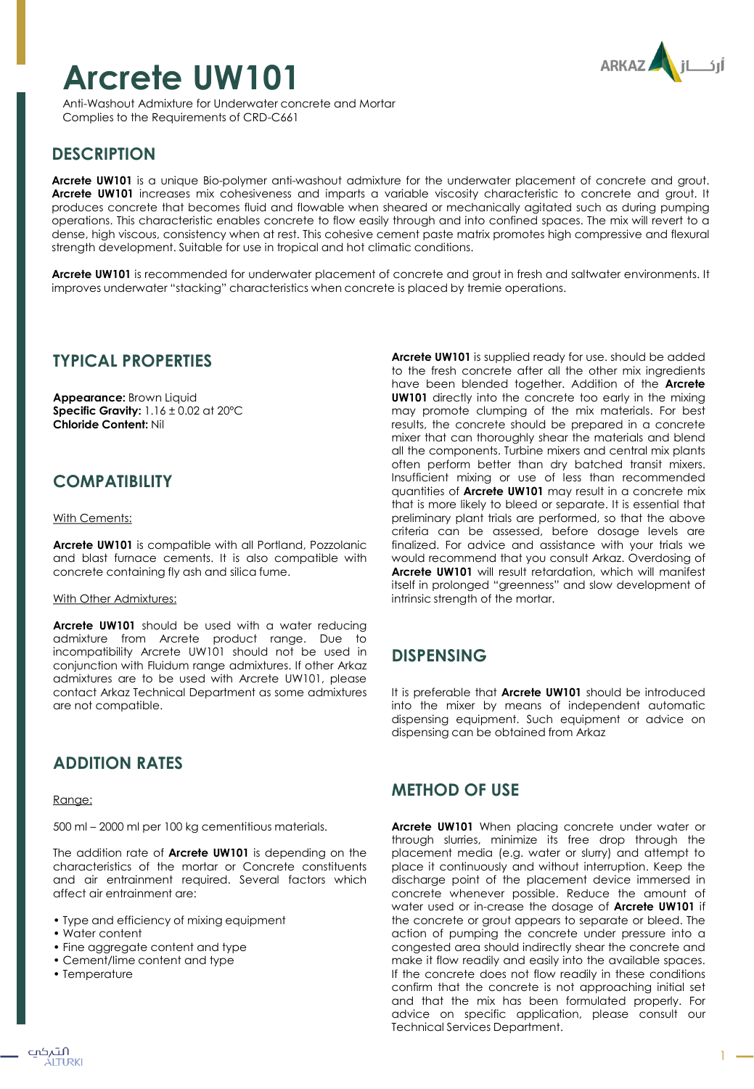# **Arcrete UW101**



Anti-Washout Admixture for Underwater concrete and Mortar Complies to the Requirements of CRD-C661

# **DESCRIPTION**

**Arcrete UW101** is a unique Bio-polymer anti-washout admixture for the underwater placement of concrete and grout. **Arcrete UW101** increases mix cohesiveness and imparts a variable viscosity characteristic to concrete and grout. It produces concrete that becomes fluid and flowable when sheared or mechanically agitated such as during pumping operations. This characteristic enables concrete to flow easily through and into confined spaces. The mix will revert to a dense, high viscous, consistency when at rest. This cohesive cement paste matrix promotes high compressive and flexural strength development. Suitable for use in tropical and hot climatic conditions.

**Arcrete UW101** is recommended for underwater placement of concrete and grout in fresh and saltwater environments. It improves underwater "stacking" characteristics when concrete is placed by tremie operations.

## **TYPICAL PROPERTIES**

**Appearance:** Brown Liquid **Specific Gravity:** 1.16 ± 0.02 at 20ºC **Chloride Content:** Nil

# **COMPATIBILITY**

#### **With Cements:**

**Arcrete UW101** is compatible with all Portland, Pozzolanic and blast furnace cements. It is also compatible with concrete containing fly ash and silica fume.

### With Other Admixtures:

**Arcrete UW101** should be used with a water reducing admixture from Arcrete product range. Due to incompatibility Arcrete UW101 should not be used in conjunction with Fluidum range admixtures. If other Arkaz admixtures are to be used with Arcrete UW101, please contact Arkaz Technical Department as some admixtures are not compatible.

# **ADDITION RATES**

#### Range:

500 ml – 2000 ml per 100 kg cementitious materials.

The addition rate of **Arcrete UW101** is depending on the characteristics of the mortar or Concrete constituents and air entrainment required. Several factors which affect air entrainment are:

- Type and efficiency of mixing equipment
- Water content
- Fine aggregate content and type
- Cement/lime content and type
- Temperature

**Arcrete UW101** is supplied ready for use. should be added to the fresh concrete after all the other mix ingredients have been blended together. Addition of the **Arcrete UW101** directly into the concrete too early in the mixing may promote clumping of the mix materials. For best results, the concrete should be prepared in a concrete mixer that can thoroughly shear the materials and blend all the components. Turbine mixers and central mix plants often perform better than dry batched transit mixers. Insufficient mixing or use of less than recommended quantities of **Arcrete UW101** may result in a concrete mix that is more likely to bleed or separate. It is essential that preliminary plant trials are performed, so that the above criteria can be assessed, before dosage levels are finalized. For advice and assistance with your trials we would recommend that you consult Arkaz. Overdosing of **Arcrete UW101** will result retardation, which will manifest itself in prolonged "greenness" and slow development of intrinsic strength of the mortar.

## **DISPENSING**

It is preferable that **Arcrete UW101** should be introduced into the mixer by means of independent automatic dispensing equipment. Such equipment or advice on dispensing can be obtained from Arkaz

## **METHOD OF USE**

**Arcrete UW101** When placing concrete under water or through slurries, minimize its free drop through the placement media (e.g. water or slurry) and attempt to place it continuously and without interruption. Keep the discharge point of the placement device immersed in concrete whenever possible. Reduce the amount of water used or in-crease the dosage of **Arcrete UW101** if the concrete or grout appears to separate or bleed. The action of pumping the concrete under pressure into a congested area should indirectly shear the concrete and make it flow readily and easily into the available spaces. If the concrete does not flow readily in these conditions confirm that the concrete is not approaching initial set and that the mix has been formulated properly. For advice on specific application, please consult our Technical Services Department.